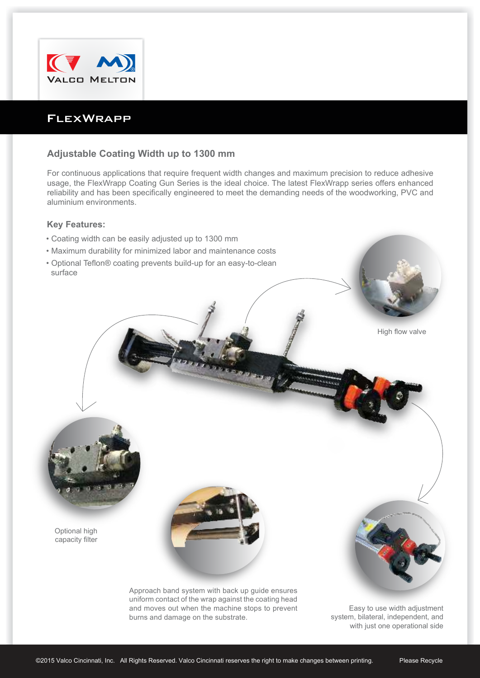

## **FLEXWRAPP**

## **Adjustable Coating Width up to 1300 mm**

For continuous applications that require frequent width changes and maximum precision to reduce adhesive usage, the FlexWrapp Coating Gun Series is the ideal choice. The latest FlexWrapp series offers enhanced reliability and has been specifically engineered to meet the demanding needs of the woodworking, PVC and aluminium environments.

## **Key Features:**

- Coating width can be easily adjusted up to 1300 mm
- Maximum durability for minimized labor and maintenance costs
- Optional Teflon® coating prevents build-up for an easy-to-clean surface





Optional high capacity filter



Approach band system with back up guide ensures uniform contact of the wrap against the coating head and moves out when the machine stops to prevent burns and damage on the substrate.

 Easy to use width adjustment system, bilateral, independent, and with just one operational side